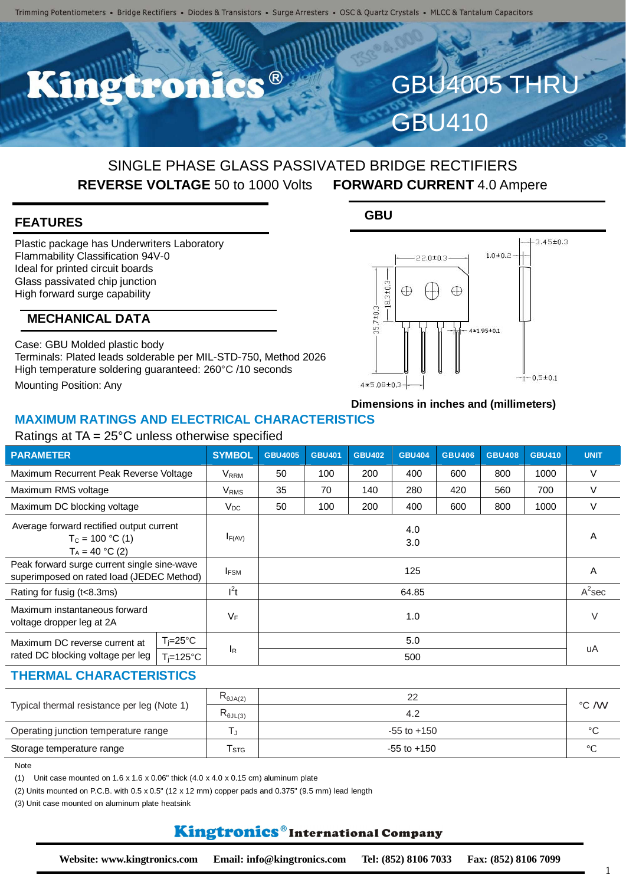**DICTION** 

# SINGLE PHASE GLASS PASSIVATED BRIDGE RECTIFIERS **REVERSE VOLTAGE** 50 to 1000 Volts **FORWARD CURRENT** 4.0 Ampere

## **FEATURES**

Plastic package has Underwriters Laboratory Flammability Classification 94V-0 Ideal for printed circuit boards Glass passivated chip junction High forward surge capability

## **MECHANICAL DATA**

Case: GBU Molded plastic body Terminals: Plated leads solderable per MIL-STD-750, Method 2026 High temperature soldering guaranteed: 260°C /10 seconds Mounting Position: Any

## **GBU**



**GBU4005 THR** 

GBU410

# **Dimensions in inches and (millimeters)**

### **MAXIMUM RATINGS AND ELECTRICAL CHARACTERISTICS**

#### Ratings at TA = 25°C unless otherwise specified

| <b>PARAMETER</b>                                                                         |                      | <b>SYMBOL</b>            | <b>GBU4005</b> | <b>GBU401</b> | <b>GBU402</b> | <b>GBU404</b> | <b>GBU406</b> | <b>GBU408</b> | <b>GBU410</b> | <b>UNIT</b> |
|------------------------------------------------------------------------------------------|----------------------|--------------------------|----------------|---------------|---------------|---------------|---------------|---------------|---------------|-------------|
| Maximum Recurrent Peak Reverse Voltage                                                   |                      | V <sub>RRM</sub>         | 50             | 100           | 200           | 400           | 600           | 800           | 1000          | $\vee$      |
| Maximum RMS voltage                                                                      |                      | V <sub>RMS</sub>         | 35             | 70            | 140           | 280           | 420           | 560           | 700           | V           |
| Maximum DC blocking voltage                                                              |                      | $\mathsf{V}_\mathsf{DC}$ | 50             | 100           | 200           | 400           | 600           | 800           | 1000          | $\vee$      |
| Average forward rectified output current<br>$T_c = 100 °C(1)$<br>$T_A = 40 °C (2)$       |                      | $I_{F(AV)}$              |                |               |               | 4.0<br>3.0    |               |               |               | A           |
| Peak forward surge current single sine-wave<br>superimposed on rated load (JEDEC Method) |                      | $I_{FSM}$                |                |               |               | 125           |               |               |               | A           |
| Rating for fusig (t<8.3ms)                                                               |                      | $l^2t$                   |                |               |               | 64.85         |               |               |               | $A^2$ sec   |
| Maximum instantaneous forward<br>voltage dropper leg at 2A                               |                      | $V_F$                    |                |               |               | 1.0           |               |               |               | V           |
| Maximum DC reverse current at                                                            | $T_i = 25^{\circ}C$  |                          |                |               |               | 5.0           |               |               |               |             |
| rated DC blocking voltage per leg                                                        | $T_i = 125^{\circ}C$ | lR.                      | 500            |               |               |               |               |               |               | uA          |

#### **THERMAL CHARACTERISTICS**

|                                             | $R_{\theta J A(2)}$ |                 | °C /W           |
|---------------------------------------------|---------------------|-----------------|-----------------|
| Typical thermal resistance per leg (Note 1) | $R_{\theta JL(3)}$  |                 |                 |
| Operating junction temperature range        |                     | $-55$ to $+150$ | °C              |
| Storage temperature range                   | l stg               | $-55$ to $+150$ | $\rm ^{\circ}C$ |

Note

(1) Unit case mounted on  $1.6 \times 1.6 \times 0.06$ " thick  $(4.0 \times 4.0 \times 0.15 \text{ cm})$  aluminum plate

(2) Units mounted on P.C.B. with  $0.5 \times 0.5$ " (12 x 12 mm) copper pads and  $0.375$ " (9.5 mm) lead length

(3) Unit case mounted on aluminum plate heatsink

## Kingtronics®International Company

1